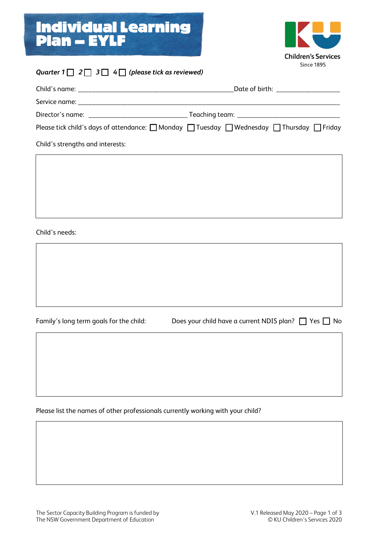## Individual Learning Plan – EYLF



#### *Quarter*  $1 \square 2 \square 3 \square 4 \square$  (please tick as reviewed)

|                                  | Date of birth: _________________                                                                                    |
|----------------------------------|---------------------------------------------------------------------------------------------------------------------|
|                                  |                                                                                                                     |
|                                  |                                                                                                                     |
|                                  | Please tick child's days of attendance: $\Box$ Monday $\Box$ Tuesday $\Box$ Wednesday $\Box$ Thursday $\Box$ Friday |
| Child's strengths and interests: |                                                                                                                     |

Child's needs:

Family's long term goals for the child: Does your child have a current NDIS plan?  $\Box$  Yes  $\Box$  No

Please list the names of other professionals currently working with your child?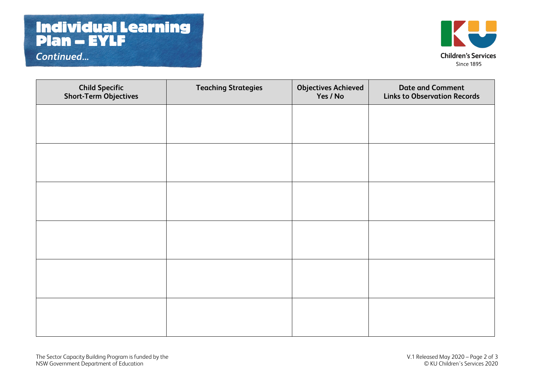## Individual Learning Plan – EYLF

*Continued...*



| <b>Child Specific</b><br><b>Short-Term Objectives</b> | <b>Teaching Strategies</b> | <b>Objectives Achieved</b><br>Yes / No | <b>Date and Comment</b><br><b>Links to Observation Records</b> |
|-------------------------------------------------------|----------------------------|----------------------------------------|----------------------------------------------------------------|
|                                                       |                            |                                        |                                                                |
|                                                       |                            |                                        |                                                                |
|                                                       |                            |                                        |                                                                |
|                                                       |                            |                                        |                                                                |
|                                                       |                            |                                        |                                                                |
|                                                       |                            |                                        |                                                                |
|                                                       |                            |                                        |                                                                |
|                                                       |                            |                                        |                                                                |
|                                                       |                            |                                        |                                                                |
|                                                       |                            |                                        |                                                                |
|                                                       |                            |                                        |                                                                |
|                                                       |                            |                                        |                                                                |